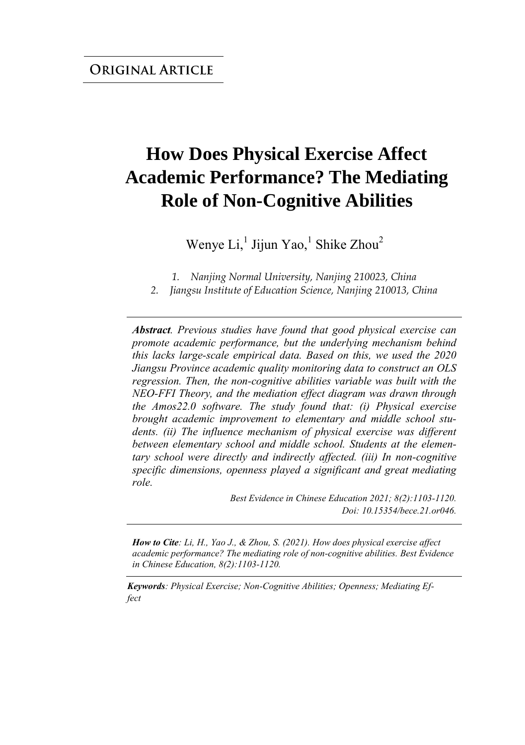# **How Does Physical Exercise Affect Academic Performance? The Mediating Role of Non-Cognitive Abilities**

Wenye Li, $^1$  Jijun Yao, $^1$  Shike Zhou<sup>2</sup>

*1. Nanjing Normal University, Nanjing 210023, China* 

*2. Jiangsu Institute of Education Science, Nanjing 210013, China* 

*Abstract. Previous studies have found that good physical exercise can promote academic performance, but the underlying mechanism behind this lacks large-scale empirical data. Based on this, we used the 2020 Jiangsu Province academic quality monitoring data to construct an OLS regression. Then, the non-cognitive abilities variable was built with the NEO-FFI Theory, and the mediation effect diagram was drawn through the Amos22.0 software. The study found that: (i) Physical exercise brought academic improvement to elementary and middle school students. (ii) The influence mechanism of physical exercise was different between elementary school and middle school. Students at the elementary school were directly and indirectly affected. (iii) In non-cognitive specific dimensions, openness played a significant and great mediating role.*

> *Best Evidence in Chinese Education 2021; 8(2):1103-1120. Doi: 10.15354/bece.21.or046.*

*How to Cite: Li, H., Yao J., & Zhou, S. (2021). How does physical exercise affect academic performance? The mediating role of non-cognitive abilities. Best Evidence in Chinese Education, 8(2):1103-1120.*

*Keywords: Physical Exercise; Non-Cognitive Abilities; Openness; Mediating Effect*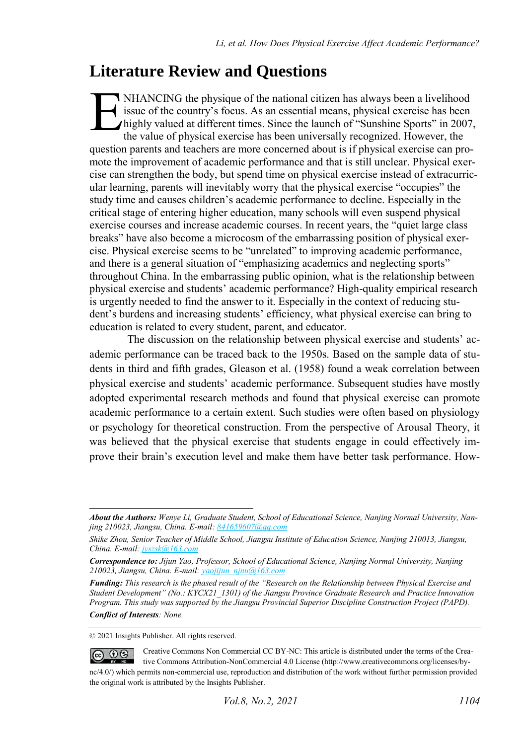## **Literature Review and Questions**

NHANCING the physique of the national citizen has always been a livelihood issue of the country's focus. As an essential means, physical exercise has been highly valued at different times. Since the launch of "Sunshine Sports" in 2007, the value of physical exercise has been universally recognized. However, the question parents and teachers are more concerned about is if physical exercise can promote the improvement of academic performance and that is still unclear. Physical exercise can strengthen the body, but spend time on physical exercise instead of extracurricular learning, parents will inevitably worry that the physical exercise "occupies" the study time and causes children's academic performance to decline. Especially in the critical stage of entering higher education, many schools will even suspend physical exercise courses and increase academic courses. In recent years, the "quiet large class breaks" have also become a microcosm of the embarrassing position of physical exercise. Physical exercise seems to be "unrelated" to improving academic performance, and there is a general situation of "emphasizing academics and neglecting sports" throughout China. In the embarrassing public opinion, what is the relationship between physical exercise and students' academic performance? High-quality empirical research is urgently needed to find the answer to it. Especially in the context of reducing student's burdens and increasing students' efficiency, what physical exercise can bring to education is related to every student, parent, and educator. E

The discussion on the relationship between physical exercise and students' academic performance can be traced back to the 1950s. Based on the sample data of students in third and fifth grades, Gleason et al. (1958) found a weak correlation between physical exercise and students' academic performance. Subsequent studies have mostly adopted experimental research methods and found that physical exercise can promote academic performance to a certain extent. Such studies were often based on physiology or psychology for theoretical construction. From the perspective of Arousal Theory, it was believed that the physical exercise that students engage in could effectively improve their brain's execution level and make them have better task performance. How-

© 2021 Insights Publisher. All rights reserved.

*About the Authors: Wenye Li, Graduate Student, School of Educational Science, Nanjing Normal University, Nanjing 210023, Jiangsu, China. E-mail[: 841659607@qq.com](mailto:841659607@qq.com)*

*Shike Zhou, Senior Teacher of Middle School, Jiangsu Institute of Education Science, Nanjing 210013, Jiangsu, China. E-mail[: jyszsk@163.com](mailto:jyszsk@163.com)*

*Correspondence to: Jijun Yao, Professor, School of Educational Science, Nanjing Normal University, Nanjing 210023, Jiangsu, China. E-mail[: yaojijun\\_njnu@163.com](mailto:yaojijun_njnu@163.com)*

*Funding: This research is the phased result of the "Research on the Relationship between Physical Exercise and Student Development" (No.: KYCX21\_1301) of the Jiangsu Province Graduate Research and Practice Innovation Program. This study was supported by the Jiangsu Provincial Superior Discipline Construction Project (PAPD). Conflict of Interests: None.* 

Creative Commons Non Commercial CC BY-NC: This article is distributed under the terms of the Crea- $\circledcirc$   $\circledcirc$ tive Commons Attribution-NonCommercial 4.0 License (http://www.creativecommons.org/licenses/bync/4.0/) which permits non-commercial use, reproduction and distribution of the work without further permission provided the original work is attributed by the Insights Publisher.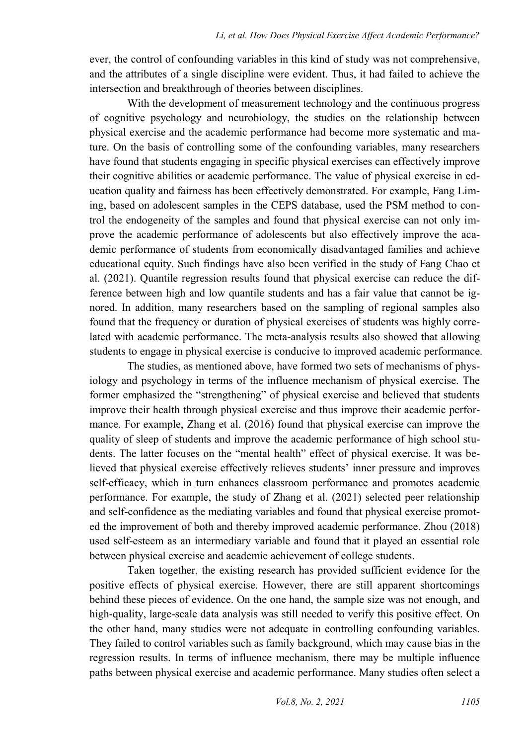ever, the control of confounding variables in this kind of study was not comprehensive, and the attributes of a single discipline were evident. Thus, it had failed to achieve the intersection and breakthrough of theories between disciplines.

With the development of measurement technology and the continuous progress of cognitive psychology and neurobiology, the studies on the relationship between physical exercise and the academic performance had become more systematic and mature. On the basis of controlling some of the confounding variables, many researchers have found that students engaging in specific physical exercises can effectively improve their cognitive abilities or academic performance. The value of physical exercise in education quality and fairness has been effectively demonstrated. For example, Fang Liming, based on adolescent samples in the CEPS database, used the PSM method to control the endogeneity of the samples and found that physical exercise can not only improve the academic performance of adolescents but also effectively improve the academic performance of students from economically disadvantaged families and achieve educational equity. Such findings have also been verified in the study of Fang Chao et al. (2021). Quantile regression results found that physical exercise can reduce the difference between high and low quantile students and has a fair value that cannot be ignored. In addition, many researchers based on the sampling of regional samples also found that the frequency or duration of physical exercises of students was highly correlated with academic performance. The meta-analysis results also showed that allowing students to engage in physical exercise is conducive to improved academic performance.

The studies, as mentioned above, have formed two sets of mechanisms of physiology and psychology in terms of the influence mechanism of physical exercise. The former emphasized the "strengthening" of physical exercise and believed that students improve their health through physical exercise and thus improve their academic performance. For example, Zhang et al. (2016) found that physical exercise can improve the quality of sleep of students and improve the academic performance of high school students. The latter focuses on the "mental health" effect of physical exercise. It was believed that physical exercise effectively relieves students' inner pressure and improves self-efficacy, which in turn enhances classroom performance and promotes academic performance. For example, the study of Zhang et al. (2021) selected peer relationship and self-confidence as the mediating variables and found that physical exercise promoted the improvement of both and thereby improved academic performance. Zhou (2018) used self-esteem as an intermediary variable and found that it played an essential role between physical exercise and academic achievement of college students.

Taken together, the existing research has provided sufficient evidence for the positive effects of physical exercise. However, there are still apparent shortcomings behind these pieces of evidence. On the one hand, the sample size was not enough, and high-quality, large-scale data analysis was still needed to verify this positive effect. On the other hand, many studies were not adequate in controlling confounding variables. They failed to control variables such as family background, which may cause bias in the regression results. In terms of influence mechanism, there may be multiple influence paths between physical exercise and academic performance. Many studies often select a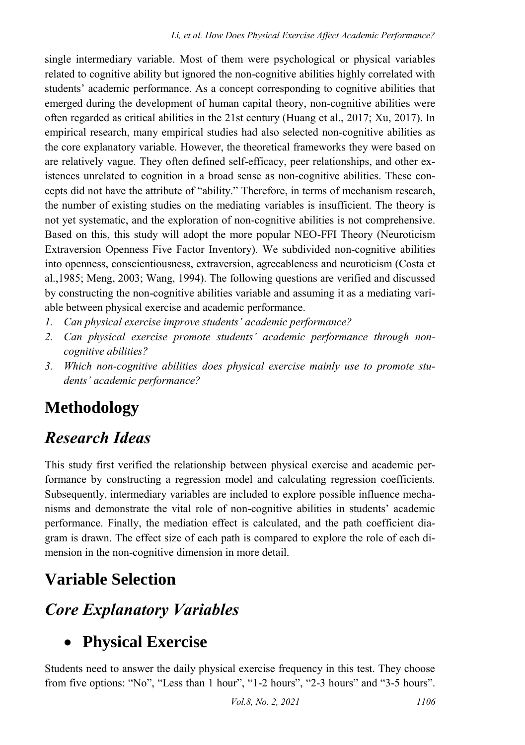single intermediary variable. Most of them were psychological or physical variables related to cognitive ability but ignored the non-cognitive abilities highly correlated with students' academic performance. As a concept corresponding to cognitive abilities that emerged during the development of human capital theory, non-cognitive abilities were often regarded as critical abilities in the 21st century (Huang et al., 2017; Xu, 2017). In empirical research, many empirical studies had also selected non-cognitive abilities as the core explanatory variable. However, the theoretical frameworks they were based on are relatively vague. They often defined self-efficacy, peer relationships, and other existences unrelated to cognition in a broad sense as non-cognitive abilities. These concepts did not have the attribute of "ability." Therefore, in terms of mechanism research, the number of existing studies on the mediating variables is insufficient. The theory is not yet systematic, and the exploration of non-cognitive abilities is not comprehensive. Based on this, this study will adopt the more popular NEO-FFI Theory (Neuroticism Extraversion Openness Five Factor Inventory). We subdivided non-cognitive abilities into openness, conscientiousness, extraversion, agreeableness and neuroticism (Costa et al.,1985; Meng, 2003; Wang, 1994). The following questions are verified and discussed by constructing the non-cognitive abilities variable and assuming it as a mediating variable between physical exercise and academic performance.

- *1. Can physical exercise improve students' academic performance?*
- *2. Can physical exercise promote students' academic performance through noncognitive abilities?*
- *3. Which non-cognitive abilities does physical exercise mainly use to promote students' academic performance?*

## **Methodology**

## *Research Ideas*

This study first verified the relationship between physical exercise and academic performance by constructing a regression model and calculating regression coefficients. Subsequently, intermediary variables are included to explore possible influence mechanisms and demonstrate the vital role of non-cognitive abilities in students' academic performance. Finally, the mediation effect is calculated, and the path coefficient diagram is drawn. The effect size of each path is compared to explore the role of each dimension in the non-cognitive dimension in more detail.

## **Variable Selection**

## *Core Explanatory Variables*

## **Physical Exercise**

Students need to answer the daily physical exercise frequency in this test. They choose from five options: "No", "Less than 1 hour", "1-2 hours", "2-3 hours" and "3-5 hours".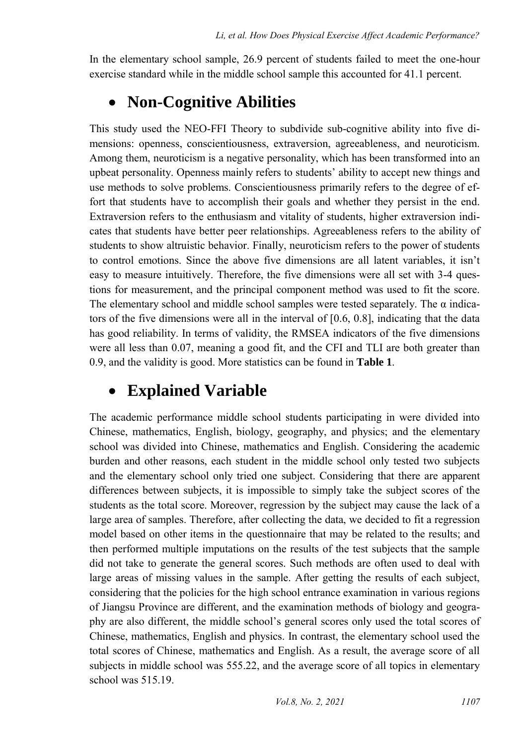In the elementary school sample, 26.9 percent of students failed to meet the one-hour exercise standard while in the middle school sample this accounted for 41.1 percent.

### **Non-Cognitive Abilities**

This study used the NEO-FFI Theory to subdivide sub-cognitive ability into five dimensions: openness, conscientiousness, extraversion, agreeableness, and neuroticism. Among them, neuroticism is a negative personality, which has been transformed into an upbeat personality. Openness mainly refers to students' ability to accept new things and use methods to solve problems. Conscientiousness primarily refers to the degree of effort that students have to accomplish their goals and whether they persist in the end. Extraversion refers to the enthusiasm and vitality of students, higher extraversion indicates that students have better peer relationships. Agreeableness refers to the ability of students to show altruistic behavior. Finally, neuroticism refers to the power of students to control emotions. Since the above five dimensions are all latent variables, it isn't easy to measure intuitively. Therefore, the five dimensions were all set with 3-4 questions for measurement, and the principal component method was used to fit the score. The elementary school and middle school samples were tested separately. The  $\alpha$  indicators of the five dimensions were all in the interval of [0.6, 0.8], indicating that the data has good reliability. In terms of validity, the RMSEA indicators of the five dimensions were all less than 0.07, meaning a good fit, and the CFI and TLI are both greater than 0.9, and the validity is good. More statistics can be found in **Table 1**.

### **Explained Variable**

The academic performance middle school students participating in were divided into Chinese, mathematics, English, biology, geography, and physics; and the elementary school was divided into Chinese, mathematics and English. Considering the academic burden and other reasons, each student in the middle school only tested two subjects and the elementary school only tried one subject. Considering that there are apparent differences between subjects, it is impossible to simply take the subject scores of the students as the total score. Moreover, regression by the subject may cause the lack of a large area of samples. Therefore, after collecting the data, we decided to fit a regression model based on other items in the questionnaire that may be related to the results; and then performed multiple imputations on the results of the test subjects that the sample did not take to generate the general scores. Such methods are often used to deal with large areas of missing values in the sample. After getting the results of each subject, considering that the policies for the high school entrance examination in various regions of Jiangsu Province are different, and the examination methods of biology and geography are also different, the middle school's general scores only used the total scores of Chinese, mathematics, English and physics. In contrast, the elementary school used the total scores of Chinese, mathematics and English. As a result, the average score of all subjects in middle school was 555.22, and the average score of all topics in elementary school was 515.19.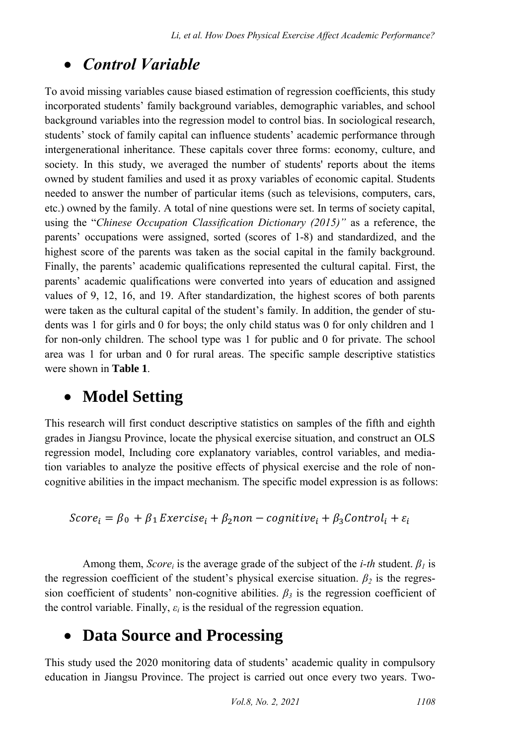### *Control Variable*

To avoid missing variables cause biased estimation of regression coefficients, this study incorporated students' family background variables, demographic variables, and school background variables into the regression model to control bias. In sociological research, students' stock of family capital can influence students' academic performance through intergenerational inheritance. These capitals cover three forms: economy, culture, and society. In this study, we averaged the number of students' reports about the items owned by student families and used it as proxy variables of economic capital. Students needed to answer the number of particular items (such as televisions, computers, cars, etc.) owned by the family. A total of nine questions were set. In terms of society capital, using the "*Chinese Occupation Classification Dictionary (2015)"* as a reference, the parents' occupations were assigned, sorted (scores of 1-8) and standardized, and the highest score of the parents was taken as the social capital in the family background. Finally, the parents' academic qualifications represented the cultural capital. First, the parents' academic qualifications were converted into years of education and assigned values of 9, 12, 16, and 19. After standardization, the highest scores of both parents were taken as the cultural capital of the student's family. In addition, the gender of students was 1 for girls and 0 for boys; the only child status was 0 for only children and 1 for non-only children. The school type was 1 for public and 0 for private. The school area was 1 for urban and 0 for rural areas. The specific sample descriptive statistics were shown in **Table 1**.

#### **Model Setting**

This research will first conduct descriptive statistics on samples of the fifth and eighth grades in Jiangsu Province, locate the physical exercise situation, and construct an OLS regression model, Including core explanatory variables, control variables, and mediation variables to analyze the positive effects of physical exercise and the role of noncognitive abilities in the impact mechanism. The specific model expression is as follows:

$$
Score_i = \beta_0 + \beta_1 Exercise_i + \beta_2 non-cognitive_i + \beta_3 Control_i + \varepsilon_i
$$

Among them, *Score*<sup>*i*</sup> is the average grade of the subject of the *i-th* student.  $\beta$ <sup>*I*</sup> is the regression coefficient of the student's physical exercise situation.  $\beta_2$  is the regression coefficient of students' non-cognitive abilities.  $\beta_3$  is the regression coefficient of the control variable. Finally,  $\varepsilon_i$  is the residual of the regression equation.

### **Data Source and Processing**

This study used the 2020 monitoring data of students' academic quality in compulsory education in Jiangsu Province. The project is carried out once every two years. Two-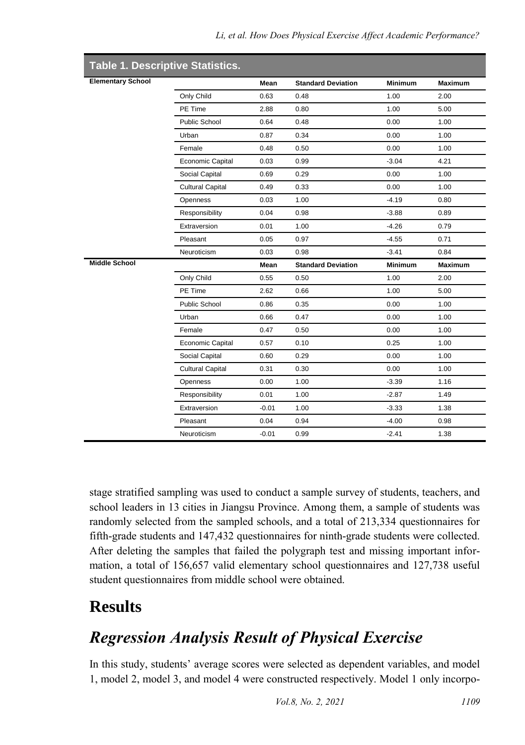| <b>Elementary School</b> |                                                                                              | Mean                                                                                 | <b>Standard Deviation</b>                                                            | <b>Minimum</b>                                                                                      | <b>Maximum</b>                                                                       |                          |             |      |                           |                |                |
|--------------------------|----------------------------------------------------------------------------------------------|--------------------------------------------------------------------------------------|--------------------------------------------------------------------------------------|-----------------------------------------------------------------------------------------------------|--------------------------------------------------------------------------------------|--------------------------|-------------|------|---------------------------|----------------|----------------|
|                          | Only Child                                                                                   | 0.63                                                                                 | 0.48                                                                                 | 1.00                                                                                                | 2.00                                                                                 |                          |             |      |                           |                |                |
|                          | PE Time                                                                                      | 2.88<br>0.64<br>0.87<br>0.48<br>0.03<br>0.69<br>0.49<br>0.03<br>0.04<br>0.01<br>0.05 | 0.80<br>0.48<br>0.34<br>0.50<br>0.99<br>0.29<br>0.33<br>1.00<br>0.98<br>1.00<br>0.97 | 1.00<br>0.00<br>0.00<br>0.00<br>$-3.04$<br>0.00<br>0.00<br>$-4.19$<br>$-3.88$<br>$-4.26$<br>$-4.55$ | 5.00<br>1.00<br>1.00<br>1.00<br>4.21<br>1.00<br>1.00<br>0.80<br>0.89<br>0.79<br>0.71 |                          |             |      |                           |                |                |
|                          | <b>Public School</b>                                                                         |                                                                                      |                                                                                      |                                                                                                     |                                                                                      |                          |             |      |                           |                |                |
|                          | Urban<br>Female<br>Economic Capital<br>Social Capital<br><b>Cultural Capital</b><br>Openness |                                                                                      |                                                                                      |                                                                                                     |                                                                                      |                          |             |      |                           |                |                |
|                          |                                                                                              |                                                                                      |                                                                                      |                                                                                                     |                                                                                      | Responsibility           |             |      |                           |                |                |
|                          |                                                                                              |                                                                                      |                                                                                      |                                                                                                     |                                                                                      | Extraversion<br>Pleasant |             |      |                           |                |                |
|                          |                                                                                              |                                                                                      |                                                                                      |                                                                                                     |                                                                                      |                          | Neuroticism | 0.03 | 0.98                      | $-3.41$        | 0.84           |
|                          |                                                                                              |                                                                                      |                                                                                      |                                                                                                     |                                                                                      | <b>Middle School</b>     |             | Mean | <b>Standard Deviation</b> | <b>Minimum</b> | <b>Maximum</b> |
|                          |                                                                                              |                                                                                      |                                                                                      |                                                                                                     |                                                                                      |                          | Only Child  | 0.55 | 0.50                      | 1.00           | 2.00           |
|                          | PE Time                                                                                      |                                                                                      |                                                                                      |                                                                                                     |                                                                                      |                          | 2.62        | 0.66 | 1.00                      | 5.00           |                |
|                          | Public School                                                                                |                                                                                      |                                                                                      |                                                                                                     |                                                                                      |                          | 0.86        | 0.35 | 0.00                      | 1.00           |                |
|                          | Urban                                                                                        |                                                                                      |                                                                                      |                                                                                                     |                                                                                      |                          | 0.66        | 0.47 | 0.00                      | 1.00           |                |
|                          | Female                                                                                       | 0.47                                                                                 | 0.50                                                                                 | 0.00                                                                                                | 1.00                                                                                 |                          |             |      |                           |                |                |
| Economic Capital         | 0.57                                                                                         | 0.10                                                                                 | 0.25                                                                                 | 1.00                                                                                                |                                                                                      |                          |             |      |                           |                |                |
| Social Capital           | 0.60                                                                                         | 0.29                                                                                 | 0.00                                                                                 | 1.00                                                                                                |                                                                                      |                          |             |      |                           |                |                |
| <b>Cultural Capital</b>  | 0.31                                                                                         | 0.30                                                                                 | 0.00                                                                                 | 1.00                                                                                                |                                                                                      |                          |             |      |                           |                |                |
| Openness                 | 0.00                                                                                         | 1.00                                                                                 | $-3.39$                                                                              | 1.16                                                                                                |                                                                                      |                          |             |      |                           |                |                |
| Responsibility           | 0.01                                                                                         | 1.00                                                                                 | $-2.87$                                                                              | 1.49                                                                                                |                                                                                      |                          |             |      |                           |                |                |
| Extraversion             | $-0.01$                                                                                      | 1.00                                                                                 | $-3.33$                                                                              | 1.38                                                                                                |                                                                                      |                          |             |      |                           |                |                |
|                          |                                                                                              |                                                                                      |                                                                                      |                                                                                                     |                                                                                      |                          |             |      |                           |                |                |
|                          | Pleasant                                                                                     | 0.04                                                                                 | 0.94                                                                                 | $-4.00$                                                                                             | 0.98                                                                                 |                          |             |      |                           |                |                |

stage stratified sampling was used to conduct a sample survey of students, teachers, and school leaders in 13 cities in Jiangsu Province. Among them, a sample of students was randomly selected from the sampled schools, and a total of 213,334 questionnaires for fifth-grade students and 147,432 questionnaires for ninth-grade students were collected. After deleting the samples that failed the polygraph test and missing important information, a total of 156,657 valid elementary school questionnaires and 127,738 useful student questionnaires from middle school were obtained.

## **Results**

## *Regression Analysis Result of Physical Exercise*

In this study, students' average scores were selected as dependent variables, and model 1, model 2, model 3, and model 4 were constructed respectively. Model 1 only incorpo-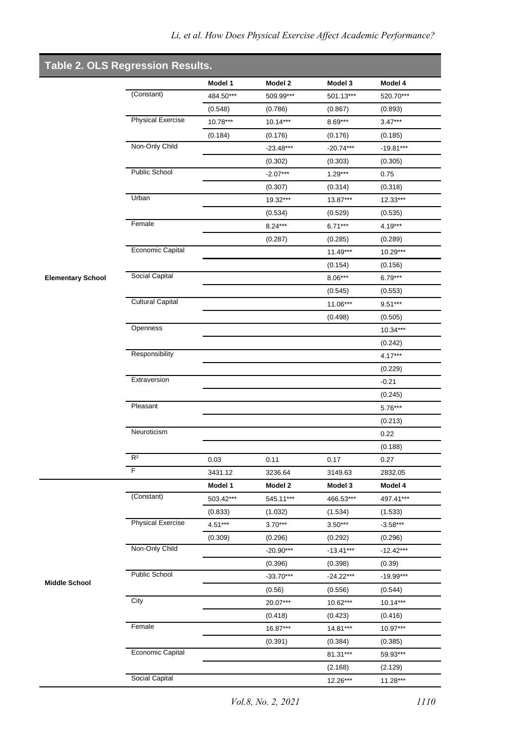| <b>Table 2. OLS Regression Results.</b> |                          |                      |                      |                      |                      |
|-----------------------------------------|--------------------------|----------------------|----------------------|----------------------|----------------------|
|                                         | (Constant)               | Model 1              | Model 2              | Model 3              | Model 4              |
|                                         |                          | 484.50***<br>(0.548) | 509.99***<br>(0.786) | 501.13***<br>(0.867) | 520.70***<br>(0.893) |
|                                         | <b>Physical Exercise</b> | 10.78***             | 10.14***             | $8.69***$            | $3.47***$            |
|                                         |                          | (0.184)              | (0.176)              | (0.176)              | (0.185)              |
|                                         | Non-Only Child           |                      | $-23.48***$          | $-20.74***$          | $-19.81***$          |
|                                         |                          |                      | (0.302)              | (0.303)              | (0.305)              |
|                                         | Public School            |                      | $-2.07***$           | $1.29***$            | 0.75                 |
|                                         |                          |                      | (0.307)              | (0.314)              | (0.318)              |
|                                         | Urban                    |                      | 19.32***             | 13.87***             | $12.33***$           |
|                                         |                          |                      | (0.534)              | (0.529)              | (0.535)              |
|                                         | Female                   |                      | $8.24***$            | $6.71***$            | $4.19***$            |
|                                         |                          |                      | (0.287)              | (0.285)              | (0.289)              |
|                                         | Economic Capital         |                      |                      | $11.49***$           | 10.29***             |
|                                         |                          |                      |                      | (0.154)              | (0.156)              |
| <b>Elementary School</b>                | Social Capital           |                      |                      | $8.06***$            | $6.79***$            |
|                                         |                          |                      |                      | (0.545)              | (0.553)              |
|                                         | <b>Cultural Capital</b>  |                      |                      | 11.06***             | $9.51***$            |
|                                         |                          |                      |                      | (0.498)              | (0.505)              |
|                                         | Openness                 |                      |                      |                      | $10.34***$           |
|                                         |                          |                      |                      |                      | (0.242)              |
|                                         | Responsibility           |                      |                      |                      | $4.17***$            |
|                                         |                          |                      |                      |                      | (0.229)              |
|                                         | Extraversion             |                      |                      |                      | $-0.21$              |
|                                         |                          |                      |                      |                      | (0.245)              |
|                                         | Pleasant                 |                      |                      |                      | $5.76***$            |
|                                         |                          |                      |                      |                      | (0.213)              |
|                                         | Neuroticism              |                      |                      |                      | 0.22                 |
|                                         |                          |                      |                      |                      | (0.188)              |
|                                         | R <sup>2</sup>           | 0.03                 | 0.11                 | 0.17                 | 0.27                 |
|                                         | F                        | 3431.12              | 3236.64              | 3149.63              | 2832.05              |
|                                         |                          | Model 1              | Model 2              | Model 3              | Model 4              |
|                                         | (Constant)               | 503.42***            | 545.11***            | 466.53***            | 497.41***            |
|                                         |                          | (0.833)              | (1.032)              | (1.534)              | (1.533)              |
|                                         | <b>Physical Exercise</b> | $4.51***$            | $3.70***$            | $3.50***$            | $-3.58***$           |
|                                         |                          | (0.309)              | (0.296)              | (0.292)              | (0.296)              |
|                                         | Non-Only Child           |                      | $-20.90***$          | $-13.41***$          | $-12.42***$          |
|                                         |                          |                      | (0.396)              | (0.398)              | (0.39)               |
|                                         | <b>Public School</b>     |                      | $-33.70***$          | $-24.22***$          | $-19.99***$          |
| <b>Middle School</b>                    |                          |                      | (0.56)               | (0.556)              | (0.544)              |
|                                         | City                     |                      | 20.07***             | 10.62***             | $10.14***$           |
|                                         |                          |                      | (0.418)              | (0.423)              | (0.416)              |
|                                         | Female                   |                      | 16.87***             | 14.81***             | 10.97***             |
|                                         |                          |                      | (0.391)              | (0.384)              | (0.385)              |
|                                         | Economic Capital         |                      |                      | 81.31***             | 59.93***             |
|                                         |                          |                      |                      | (2.168)              | (2.129)              |
|                                         | Social Capital           |                      |                      | 12.26***             | 11.28***             |
|                                         |                          |                      |                      |                      |                      |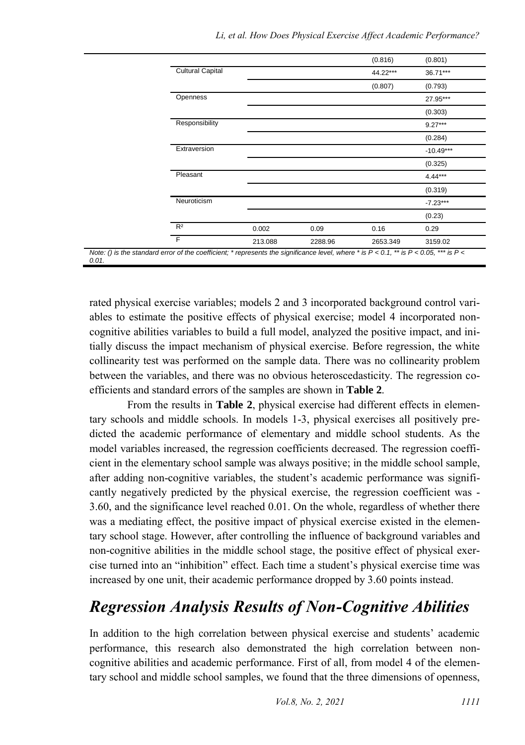|                                                                                                                                                         |                         |         |         | (0.816)  | (0.801)     |  |  |  |
|---------------------------------------------------------------------------------------------------------------------------------------------------------|-------------------------|---------|---------|----------|-------------|--|--|--|
|                                                                                                                                                         | <b>Cultural Capital</b> |         |         | 44.22*** | 36.71***    |  |  |  |
|                                                                                                                                                         |                         |         |         | (0.807)  | (0.793)     |  |  |  |
|                                                                                                                                                         | Openness                |         |         |          | 27.95***    |  |  |  |
|                                                                                                                                                         |                         |         |         |          | (0.303)     |  |  |  |
|                                                                                                                                                         | Responsibility          |         |         |          | $9.27***$   |  |  |  |
|                                                                                                                                                         |                         |         |         |          | (0.284)     |  |  |  |
|                                                                                                                                                         | Extraversion            |         |         |          | $-10.49***$ |  |  |  |
|                                                                                                                                                         |                         |         |         |          | (0.325)     |  |  |  |
|                                                                                                                                                         | Pleasant                |         |         |          | $4.44***$   |  |  |  |
|                                                                                                                                                         |                         |         |         |          | (0.319)     |  |  |  |
|                                                                                                                                                         | Neuroticism             |         |         |          | $-7.23***$  |  |  |  |
|                                                                                                                                                         |                         |         |         |          | (0.23)      |  |  |  |
|                                                                                                                                                         | R <sup>2</sup>          | 0.002   | 0.09    | 0.16     | 0.29        |  |  |  |
|                                                                                                                                                         | F                       | 213.088 | 2288.96 | 2653.349 | 3159.02     |  |  |  |
| Note: () is the standard error of the coefficient; * represents the significance level, where * is $P < 0.1$ , ** is $P < 0.05$ , *** is $P <$<br>0 O 1 |                         |         |         |          |             |  |  |  |

rated physical exercise variables; models 2 and 3 incorporated background control variables to estimate the positive effects of physical exercise; model 4 incorporated noncognitive abilities variables to build a full model, analyzed the positive impact, and initially discuss the impact mechanism of physical exercise. Before regression, the white collinearity test was performed on the sample data. There was no collinearity problem between the variables, and there was no obvious heteroscedasticity. The regression coefficients and standard errors of the samples are shown in **Table 2**.

From the results in **Table 2**, physical exercise had different effects in elementary schools and middle schools. In models 1-3, physical exercises all positively predicted the academic performance of elementary and middle school students. As the model variables increased, the regression coefficients decreased. The regression coefficient in the elementary school sample was always positive; in the middle school sample, after adding non-cognitive variables, the student's academic performance was significantly negatively predicted by the physical exercise, the regression coefficient was - 3.60, and the significance level reached 0.01. On the whole, regardless of whether there was a mediating effect, the positive impact of physical exercise existed in the elementary school stage. However, after controlling the influence of background variables and non-cognitive abilities in the middle school stage, the positive effect of physical exercise turned into an "inhibition" effect. Each time a student's physical exercise time was increased by one unit, their academic performance dropped by 3.60 points instead.

## *Regression Analysis Results of Non-Cognitive Abilities*

In addition to the high correlation between physical exercise and students' academic performance, this research also demonstrated the high correlation between noncognitive abilities and academic performance. First of all, from model 4 of the elementary school and middle school samples, we found that the three dimensions of openness,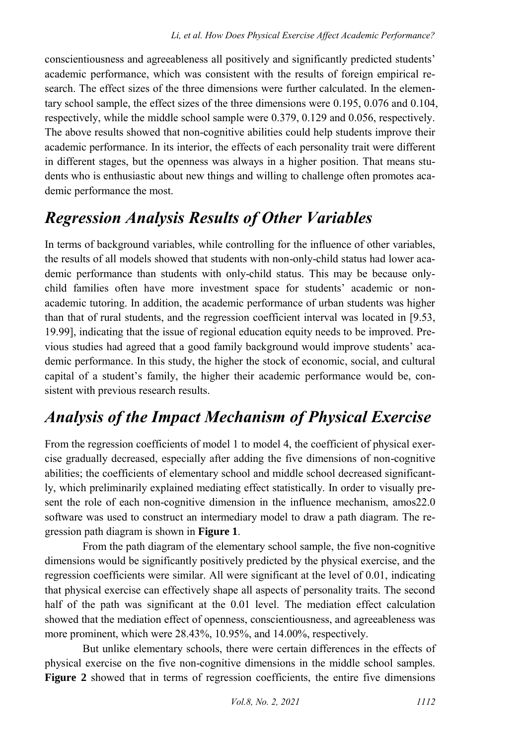conscientiousness and agreeableness all positively and significantly predicted students' academic performance, which was consistent with the results of foreign empirical research. The effect sizes of the three dimensions were further calculated. In the elementary school sample, the effect sizes of the three dimensions were 0.195, 0.076 and 0.104, respectively, while the middle school sample were 0.379, 0.129 and 0.056, respectively. The above results showed that non-cognitive abilities could help students improve their academic performance. In its interior, the effects of each personality trait were different in different stages, but the openness was always in a higher position. That means students who is enthusiastic about new things and willing to challenge often promotes academic performance the most.

# *Regression Analysis Results of Other Variables*

In terms of background variables, while controlling for the influence of other variables, the results of all models showed that students with non-only-child status had lower academic performance than students with only-child status. This may be because onlychild families often have more investment space for students' academic or nonacademic tutoring. In addition, the academic performance of urban students was higher than that of rural students, and the regression coefficient interval was located in [9.53, 19.99], indicating that the issue of regional education equity needs to be improved. Previous studies had agreed that a good family background would improve students' academic performance. In this study, the higher the stock of economic, social, and cultural capital of a student's family, the higher their academic performance would be, consistent with previous research results.

## *Analysis of the Impact Mechanism of Physical Exercise*

From the regression coefficients of model 1 to model 4, the coefficient of physical exercise gradually decreased, especially after adding the five dimensions of non-cognitive abilities; the coefficients of elementary school and middle school decreased significantly, which preliminarily explained mediating effect statistically. In order to visually present the role of each non-cognitive dimension in the influence mechanism, amos22.0 software was used to construct an intermediary model to draw a path diagram. The regression path diagram is shown in **Figure 1**.

From the path diagram of the elementary school sample, the five non-cognitive dimensions would be significantly positively predicted by the physical exercise, and the regression coefficients were similar. All were significant at the level of 0.01, indicating that physical exercise can effectively shape all aspects of personality traits. The second half of the path was significant at the 0.01 level. The mediation effect calculation showed that the mediation effect of openness, conscientiousness, and agreeableness was more prominent, which were 28.43%, 10.95%, and 14.00%, respectively.

But unlike elementary schools, there were certain differences in the effects of physical exercise on the five non-cognitive dimensions in the middle school samples. **Figure 2** showed that in terms of regression coefficients, the entire five dimensions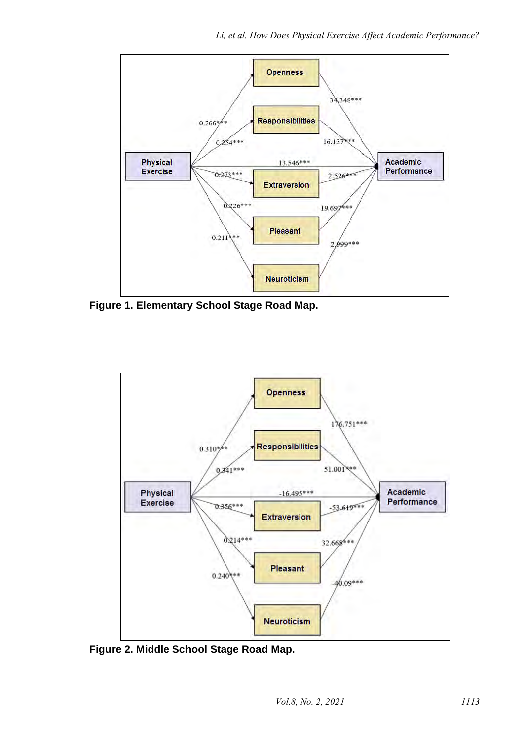

**Figure 1. Elementary School Stage Road Map.**



**Figure 2. Middle School Stage Road Map.**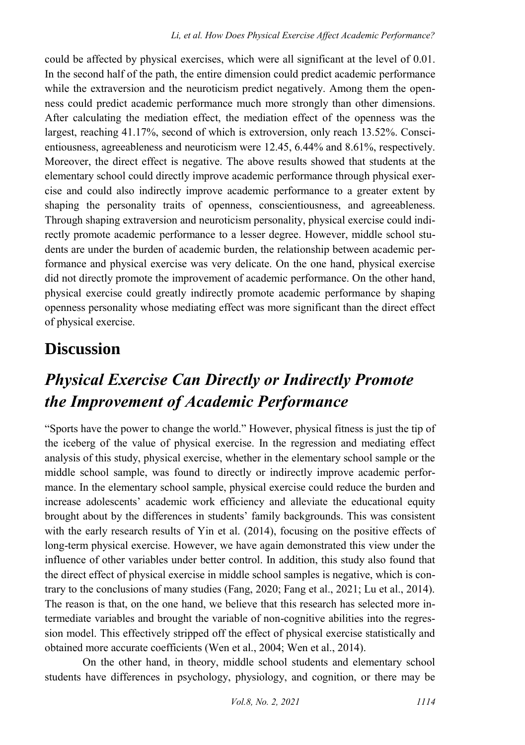could be affected by physical exercises, which were all significant at the level of 0.01. In the second half of the path, the entire dimension could predict academic performance while the extraversion and the neuroticism predict negatively. Among them the openness could predict academic performance much more strongly than other dimensions. After calculating the mediation effect, the mediation effect of the openness was the largest, reaching 41.17%, second of which is extroversion, only reach 13.52%. Conscientiousness, agreeableness and neuroticism were 12.45, 6.44% and 8.61%, respectively. Moreover, the direct effect is negative. The above results showed that students at the elementary school could directly improve academic performance through physical exercise and could also indirectly improve academic performance to a greater extent by shaping the personality traits of openness, conscientiousness, and agreeableness. Through shaping extraversion and neuroticism personality, physical exercise could indirectly promote academic performance to a lesser degree. However, middle school students are under the burden of academic burden, the relationship between academic performance and physical exercise was very delicate. On the one hand, physical exercise did not directly promote the improvement of academic performance. On the other hand, physical exercise could greatly indirectly promote academic performance by shaping openness personality whose mediating effect was more significant than the direct effect of physical exercise.

### **Discussion**

## *Physical Exercise Can Directly or Indirectly Promote the Improvement of Academic Performance*

"Sports have the power to change the world." However, physical fitness is just the tip of the iceberg of the value of physical exercise. In the regression and mediating effect analysis of this study, physical exercise, whether in the elementary school sample or the middle school sample, was found to directly or indirectly improve academic performance. In the elementary school sample, physical exercise could reduce the burden and increase adolescents' academic work efficiency and alleviate the educational equity brought about by the differences in students' family backgrounds. This was consistent with the early research results of Yin et al. (2014), focusing on the positive effects of long-term physical exercise. However, we have again demonstrated this view under the influence of other variables under better control. In addition, this study also found that the direct effect of physical exercise in middle school samples is negative, which is contrary to the conclusions of many studies (Fang, 2020; Fang et al., 2021; Lu et al., 2014). The reason is that, on the one hand, we believe that this research has selected more intermediate variables and brought the variable of non-cognitive abilities into the regression model. This effectively stripped off the effect of physical exercise statistically and obtained more accurate coefficients (Wen et al., 2004; Wen et al., 2014).

On the other hand, in theory, middle school students and elementary school students have differences in psychology, physiology, and cognition, or there may be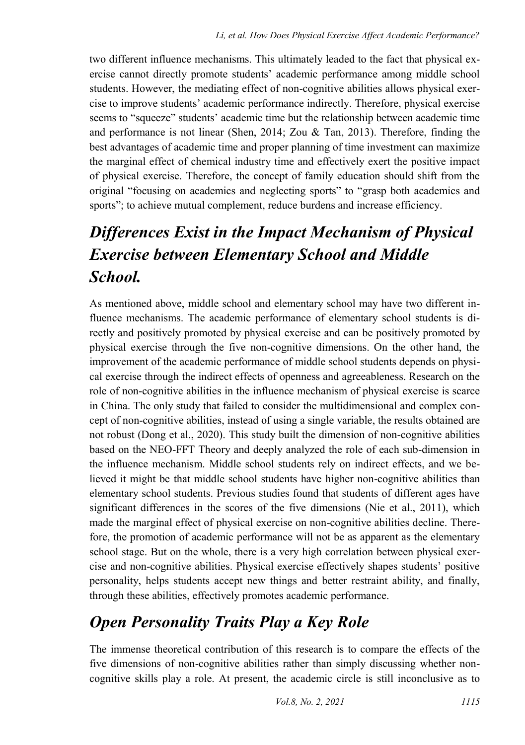two different influence mechanisms. This ultimately leaded to the fact that physical exercise cannot directly promote students' academic performance among middle school students. However, the mediating effect of non-cognitive abilities allows physical exercise to improve students' academic performance indirectly. Therefore, physical exercise seems to "squeeze" students' academic time but the relationship between academic time and performance is not linear (Shen, 2014; Zou & Tan, 2013). Therefore, finding the best advantages of academic time and proper planning of time investment can maximize the marginal effect of chemical industry time and effectively exert the positive impact of physical exercise. Therefore, the concept of family education should shift from the original "focusing on academics and neglecting sports" to "grasp both academics and sports"; to achieve mutual complement, reduce burdens and increase efficiency.

# *Differences Exist in the Impact Mechanism of Physical Exercise between Elementary School and Middle School.*

As mentioned above, middle school and elementary school may have two different influence mechanisms. The academic performance of elementary school students is directly and positively promoted by physical exercise and can be positively promoted by physical exercise through the five non-cognitive dimensions. On the other hand, the improvement of the academic performance of middle school students depends on physical exercise through the indirect effects of openness and agreeableness. Research on the role of non-cognitive abilities in the influence mechanism of physical exercise is scarce in China. The only study that failed to consider the multidimensional and complex concept of non-cognitive abilities, instead of using a single variable, the results obtained are not robust (Dong et al., 2020). This study built the dimension of non-cognitive abilities based on the NEO-FFT Theory and deeply analyzed the role of each sub-dimension in the influence mechanism. Middle school students rely on indirect effects, and we believed it might be that middle school students have higher non-cognitive abilities than elementary school students. Previous studies found that students of different ages have significant differences in the scores of the five dimensions (Nie et al., 2011), which made the marginal effect of physical exercise on non-cognitive abilities decline. Therefore, the promotion of academic performance will not be as apparent as the elementary school stage. But on the whole, there is a very high correlation between physical exercise and non-cognitive abilities. Physical exercise effectively shapes students' positive personality, helps students accept new things and better restraint ability, and finally, through these abilities, effectively promotes academic performance.

## *Open Personality Traits Play a Key Role*

The immense theoretical contribution of this research is to compare the effects of the five dimensions of non-cognitive abilities rather than simply discussing whether noncognitive skills play a role. At present, the academic circle is still inconclusive as to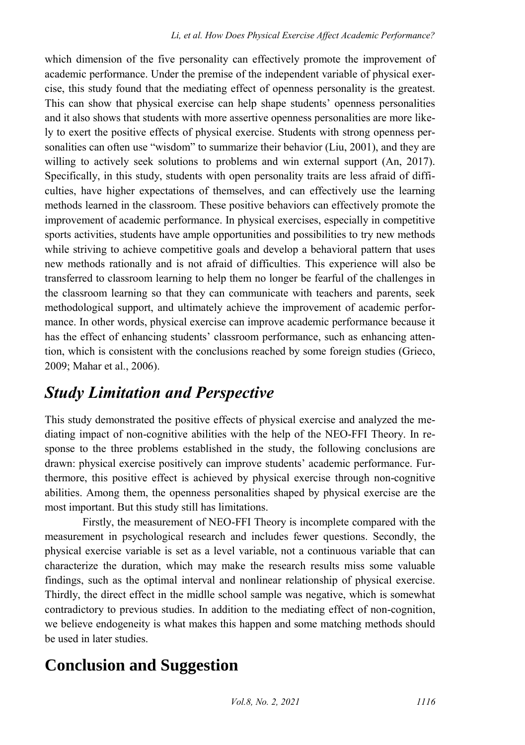which dimension of the five personality can effectively promote the improvement of academic performance. Under the premise of the independent variable of physical exercise, this study found that the mediating effect of openness personality is the greatest. This can show that physical exercise can help shape students' openness personalities and it also shows that students with more assertive openness personalities are more likely to exert the positive effects of physical exercise. Students with strong openness personalities can often use "wisdom" to summarize their behavior (Liu, 2001), and they are willing to actively seek solutions to problems and win external support (An, 2017). Specifically, in this study, students with open personality traits are less afraid of difficulties, have higher expectations of themselves, and can effectively use the learning methods learned in the classroom. These positive behaviors can effectively promote the improvement of academic performance. In physical exercises, especially in competitive sports activities, students have ample opportunities and possibilities to try new methods while striving to achieve competitive goals and develop a behavioral pattern that uses new methods rationally and is not afraid of difficulties. This experience will also be transferred to classroom learning to help them no longer be fearful of the challenges in the classroom learning so that they can communicate with teachers and parents, seek methodological support, and ultimately achieve the improvement of academic performance. In other words, physical exercise can improve academic performance because it has the effect of enhancing students' classroom performance, such as enhancing attention, which is consistent with the conclusions reached by some foreign studies (Grieco, 2009; Mahar et al., 2006).

### *Study Limitation and Perspective*

This study demonstrated the positive effects of physical exercise and analyzed the mediating impact of non-cognitive abilities with the help of the NEO-FFI Theory. In response to the three problems established in the study, the following conclusions are drawn: physical exercise positively can improve students' academic performance. Furthermore, this positive effect is achieved by physical exercise through non-cognitive abilities. Among them, the openness personalities shaped by physical exercise are the most important. But this study still has limitations.

Firstly, the measurement of NEO-FFI Theory is incomplete compared with the measurement in psychological research and includes fewer questions. Secondly, the physical exercise variable is set as a level variable, not a continuous variable that can characterize the duration, which may make the research results miss some valuable findings, such as the optimal interval and nonlinear relationship of physical exercise. Thirdly, the direct effect in the midlle school sample was negative, which is somewhat contradictory to previous studies. In addition to the mediating effect of non-cognition, we believe endogeneity is what makes this happen and some matching methods should be used in later studies.

## **Conclusion and Suggestion**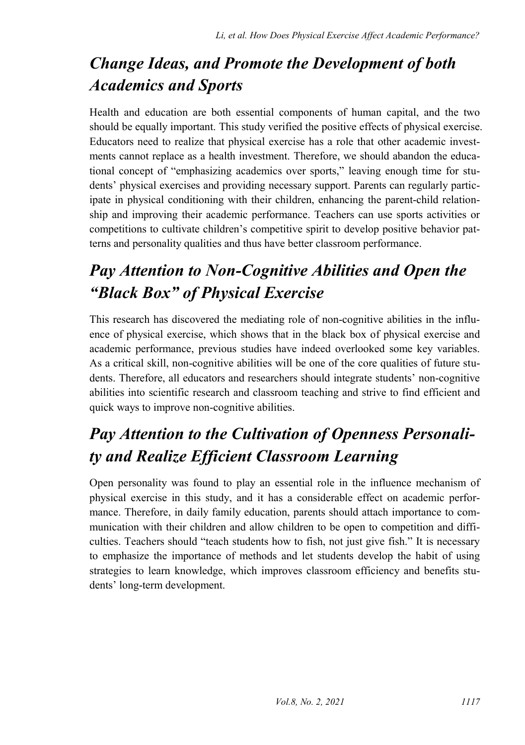# *Change Ideas, and Promote the Development of both Academics and Sports*

Health and education are both essential components of human capital, and the two should be equally important. This study verified the positive effects of physical exercise. Educators need to realize that physical exercise has a role that other academic investments cannot replace as a health investment. Therefore, we should abandon the educational concept of "emphasizing academics over sports," leaving enough time for students' physical exercises and providing necessary support. Parents can regularly participate in physical conditioning with their children, enhancing the parent-child relationship and improving their academic performance. Teachers can use sports activities or competitions to cultivate children's competitive spirit to develop positive behavior patterns and personality qualities and thus have better classroom performance.

# *Pay Attention to Non-Cognitive Abilities and Open the "Black Box" of Physical Exercise*

This research has discovered the mediating role of non-cognitive abilities in the influence of physical exercise, which shows that in the black box of physical exercise and academic performance, previous studies have indeed overlooked some key variables. As a critical skill, non-cognitive abilities will be one of the core qualities of future students. Therefore, all educators and researchers should integrate students' non-cognitive abilities into scientific research and classroom teaching and strive to find efficient and quick ways to improve non-cognitive abilities.

# *Pay Attention to the Cultivation of Openness Personality and Realize Efficient Classroom Learning*

Open personality was found to play an essential role in the influence mechanism of physical exercise in this study, and it has a considerable effect on academic performance. Therefore, in daily family education, parents should attach importance to communication with their children and allow children to be open to competition and difficulties. Teachers should "teach students how to fish, not just give fish." It is necessary to emphasize the importance of methods and let students develop the habit of using strategies to learn knowledge, which improves classroom efficiency and benefits students' long-term development.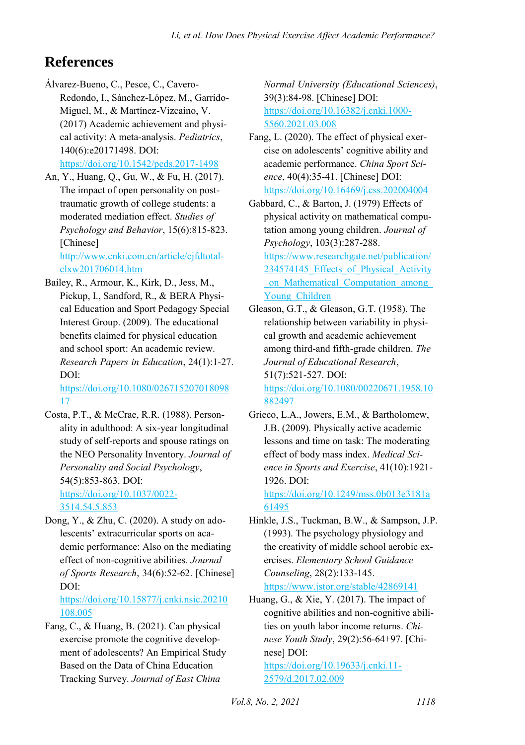#### **References**

- Álvarez-Bueno, C., Pesce, C., Cavero-Redondo, I., Sánchez-López, M., Garrido-Miguel, M., & Martínez-Vizcaíno, V. (2017) Academic achievement and physical activity: A meta-analysis. *Pediatrics*, 140(6):e20171498. DOI: <https://doi.org/10.1542/peds.2017-1498>
- An, Y., Huang, Q., Gu, W., & Fu, H. (2017). The impact of open personality on posttraumatic growth of college students: a moderated mediation effect. *Studies of Psychology and Behavior*, 15(6):815-823. [Chinese] [http://www.cnki.com.cn/article/cjfdtotal-](http://www.cnki.com.cn/article/cjfdtotal-clxw201706014.htm)

[clxw201706014.htm](http://www.cnki.com.cn/article/cjfdtotal-clxw201706014.htm) 

Bailey, R., Armour, K., Kirk, D., Jess, M., Pickup, I., Sandford, R., & BERA Physical Education and Sport Pedagogy Special Interest Group. (2009). The educational benefits claimed for physical education and school sport: An academic review. *Research Papers in Education*, 24(1):1-27. DOI:

[https://doi.org/10.1080/026715207018098](https://doi.org/10.1080/02671520701809817) [17](https://doi.org/10.1080/02671520701809817) 

- Costa, P.T., & McCrae, R.R. (1988). Personality in adulthood: A six-year longitudinal study of self-reports and spouse ratings on the NEO Personality Inventory. *Journal of Personality and Social Psychology*, 54(5):853-863. DOI: [https://doi.org/10.1037/0022-](https://doi.org/10.1037/0022-3514.54.5.853) [3514.54.5.853](https://doi.org/10.1037/0022-3514.54.5.853)
- Dong, Y., & Zhu, C. (2020). A study on adolescents' extracurricular sports on academic performance: Also on the mediating effect of non-cognitive abilities. *Journal of Sports Research*, 34(6):52-62. [Chinese] DOI:

[https://doi.org/10.15877/j.cnki.nsic.20210](https://doi.org/10.15877/j.cnki.nsic.20210108.005) [108.005](https://doi.org/10.15877/j.cnki.nsic.20210108.005) 

Fang, C., & Huang, B. (2021). Can physical exercise promote the cognitive development of adolescents? An Empirical Study Based on the Data of China Education Tracking Survey. *Journal of East China* 

*Normal University (Educational Sciences)*, 39(3):84-98. [Chinese] DOI: [https://doi.org/10.16382/j.cnki.1000-](https://doi.org/10.16382/j.cnki.1000-5560.2021.03.008) [5560.2021.03.008](https://doi.org/10.16382/j.cnki.1000-5560.2021.03.008) 

- Fang, L. (2020). The effect of physical exercise on adolescents' cognitive ability and academic performance. *China Sport Science*, 40(4):35-41. [Chinese] DOI: <https://doi.org/10.16469/j.css.202004004>
- Gabbard, C., & Barton, J. (1979) Effects of physical activity on mathematical computation among young children. *Journal of Psychology*, 103(3):287-288.

[https://www.researchgate.net/publication/](https://www.researchgate.net/publication/234574145_Effects_of_Physical_Activity_on_Mathematical_Computation_among_Young_Children) 234574145 Effects of Physical Activity [\\_on\\_Mathematical\\_Computation\\_among\\_](https://www.researchgate.net/publication/234574145_Effects_of_Physical_Activity_on_Mathematical_Computation_among_Young_Children) [Young\\_Children](https://www.researchgate.net/publication/234574145_Effects_of_Physical_Activity_on_Mathematical_Computation_among_Young_Children) 

- Gleason, G.T., & Gleason, G.T. (1958). The relationship between variability in physical growth and academic achievement among third-and fifth-grade children. *The Journal of Educational Research*, 51(7):521-527. DOI: [https://doi.org/10.1080/00220671.1958.10](https://doi.org/10.1080/00220671.1958.10882497) [882497](https://doi.org/10.1080/00220671.1958.10882497)
- Grieco, L.A., Jowers, E.M., & Bartholomew, J.B. (2009). Physically active academic lessons and time on task: The moderating effect of body mass index. *Medical Science in Sports and Exercise*, 41(10):1921- 1926. DOI:

[https://doi.org/10.1249/mss.0b013e3181a](https://doi.org/10.1249/mss.0b013e3181a61495) [61495](https://doi.org/10.1249/mss.0b013e3181a61495) 

- Hinkle, J.S., Tuckman, B.W., & Sampson, J.P. (1993). The psychology physiology and the creativity of middle school aerobic exercises. *Elementary School Guidance Counseling*, 28(2):133-145. <https://www.jstor.org/stable/42869141>
- Huang, G., & Xie, Y. (2017). The impact of cognitive abilities and non-cognitive abilities on youth labor income returns. *Chinese Youth Study*, 29(2):56-64+97. [Chinese] DOI:

[https://doi.org/10.19633/j.cnki.11-](https://doi.org/10.19633/j.cnki.11-2579/d.2017.02.009) [2579/d.2017.02.009](https://doi.org/10.19633/j.cnki.11-2579/d.2017.02.009)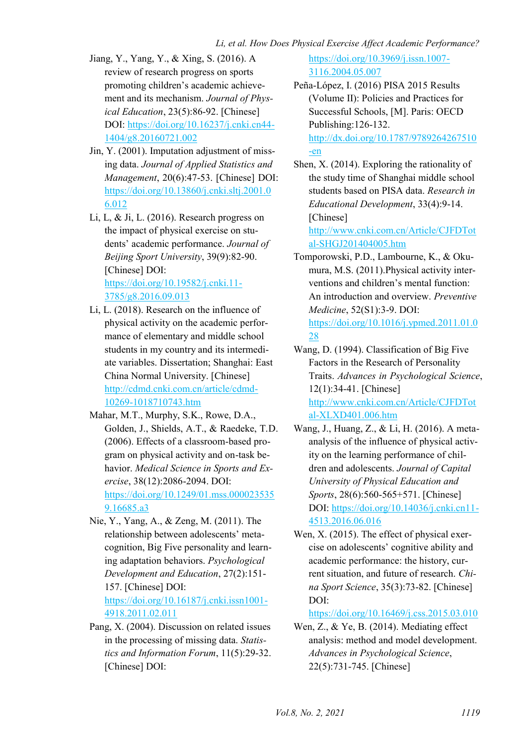- Jiang, Y., Yang, Y., & Xing, S. (2016). A review of research progress on sports promoting children's academic achievement and its mechanism. *Journal of Physical Education*, 23(5):86-92. [Chinese] DOI: [https://doi.org/10.16237/j.cnki.cn44-](https://doi.org/10.16237/j.cnki.cn44-1404/g8.20160721.002) [1404/g8.20160721.002](https://doi.org/10.16237/j.cnki.cn44-1404/g8.20160721.002)
- Jin, Y. (2001). Imputation adjustment of missing data. *Journal of Applied Statistics and Management*, 20(6):47-53. [Chinese] DOI: [https://doi.org/10.13860/j.cnki.sltj.2001.0](https://doi.org/10.13860/j.cnki.sltj.2001.06.012) [6.012](https://doi.org/10.13860/j.cnki.sltj.2001.06.012)
- Li, L, & Ji, L. (2016). Research progress on the impact of physical exercise on students' academic performance. *Journal of Beijing Sport University*, 39(9):82-90. [Chinese] DOI: [https://doi.org/10.19582/j.cnki.11-](https://doi.org/10.19582/j.cnki.11-3785/g8.2016.09.013) [3785/g8.2016.09.013](https://doi.org/10.19582/j.cnki.11-3785/g8.2016.09.013)
- Li, L. (2018). Research on the influence of physical activity on the academic performance of elementary and middle school students in my country and its intermediate variables. Dissertation; Shanghai: East China Normal University. [Chinese] [http://cdmd.cnki.com.cn/article/cdmd-](http://cdmd.cnki.com.cn/article/cdmd-10269-1018710743.htm)[10269-1018710743.htm](http://cdmd.cnki.com.cn/article/cdmd-10269-1018710743.htm)
- Mahar, M.T., Murphy, S.K., Rowe, D.A., Golden, J., Shields, A.T., & Raedeke, T.D. (2006). Effects of a classroom-based program on physical activity and on-task behavior. *Medical Science in Sports and Exercise*, 38(12):2086-2094. DOI: [https://doi.org/10.1249/01.mss.000023535](https://doi.org/10.1249/01.mss.0000235359.16685.a3) [9.16685.a3](https://doi.org/10.1249/01.mss.0000235359.16685.a3)
- Nie, Y., Yang, A., & Zeng, M. (2011). The relationship between adolescents' metacognition, Big Five personality and learning adaptation behaviors. *Psychological Development and Education*, 27(2):151- 157. [Chinese] DOI: [https://doi.org/10.16187/j.cnki.issn1001-](https://doi.org/10.16187/j.cnki.issn1001-4918.2011.02.011) [4918.2011.02.011](https://doi.org/10.16187/j.cnki.issn1001-4918.2011.02.011)
- Pang, X. (2004). Discussion on related issues in the processing of missing data. *Statistics and Information Forum*, 11(5):29-32. [Chinese] DOI:

[https://doi.org/10.3969/j.issn.1007-](https://doi.org/10.3969/j.issn.1007-3116.2004.05.007) [3116.2004.05.007](https://doi.org/10.3969/j.issn.1007-3116.2004.05.007) 

Peña-López, I. (2016) PISA 2015 Results (Volume II): Policies and Practices for Successful Schools, [M]. Paris: OECD Publishing:126-132. [http://dx.doi.org/10.1787/9789264267510](http://dx.doi.org/10.1787/9789264267510-en) [-en](http://dx.doi.org/10.1787/9789264267510-en) 

Shen, X. (2014). Exploring the rationality of the study time of Shanghai middle school students based on PISA data. *Research in Educational Development*, 33(4):9-14. [Chinese]

[http://www.cnki.com.cn/Article/CJFDTot](http://www.cnki.com.cn/Article/CJFDTotal-SHGJ201404005.htm) [al-SHGJ201404005.htm](http://www.cnki.com.cn/Article/CJFDTotal-SHGJ201404005.htm) 

- Tomporowski, P.D., Lambourne, K., & Okumura, M.S. (2011).Physical activity interventions and children's mental function: An introduction and overview. *Preventive Medicine*, 52(S1):3-9. DOI: [https://doi.org/10.1016/j.ypmed.2011.01.0](https://doi.org/10.1016/j.ypmed.2011.01.028) [28](https://doi.org/10.1016/j.ypmed.2011.01.028)
- Wang, D. (1994). Classification of Big Five Factors in the Research of Personality Traits. *Advances in Psychological Science*, 12(1):34-41. [Chinese] [http://www.cnki.com.cn/Article/CJFDTot](http://www.cnki.com.cn/Article/CJFDTotal-XLXD401.006.htm) [al-XLXD401.006.htm](http://www.cnki.com.cn/Article/CJFDTotal-XLXD401.006.htm)
- Wang, J., Huang, Z., & Li, H. (2016). A metaanalysis of the influence of physical activity on the learning performance of children and adolescents. *Journal of Capital University of Physical Education and Sports*, 28(6):560-565+571. [Chinese] DOI[: https://doi.org/10.14036/j.cnki.cn11-](https://doi.org/10.14036/j.cnki.cn11-4513.2016.06.016) [4513.2016.06.016](https://doi.org/10.14036/j.cnki.cn11-4513.2016.06.016)
- Wen, X. (2015). The effect of physical exercise on adolescents' cognitive ability and academic performance: the history, current situation, and future of research. *China Sport Science*, 35(3):73-82. [Chinese] DOI:

<https://doi.org/10.16469/j.css.2015.03.010>

Wen, Z., & Ye, B. (2014). Mediating effect analysis: method and model development. *Advances in Psychological Science*, 22(5):731-745. [Chinese]